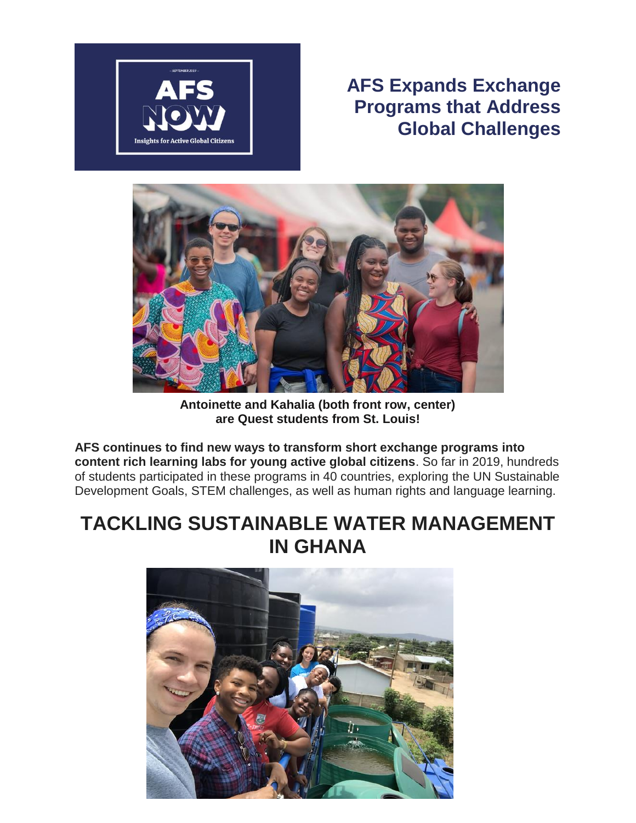

## **AFS Expands Exchange Programs that Address Global Challenges**



**Antoinette and Kahalia (both front row, center) are Quest students from St. Louis!**

**AFS continues to find new ways to transform short exchange programs into content rich learning labs for young active global citizens**. So far in 2019, hundreds of students participated in these programs in 40 countries, exploring the UN Sustainable Development Goals, STEM challenges, as well as human rights and language learning.

## **TACKLING SUSTAINABLE WATER MANAGEMENT IN GHANA**